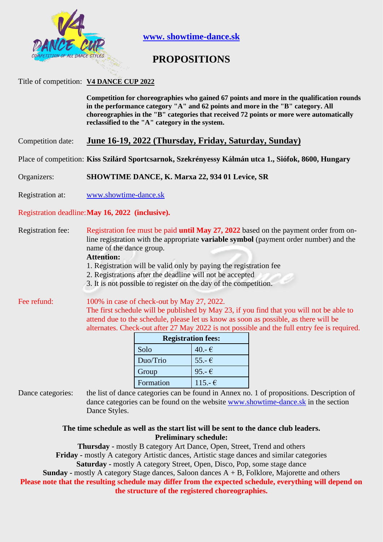

**www. showtime-dance.sk**

# **PROPOSITIONS**

### Title of competition: **V4 DANCE CUP 2022**

**Competition for choreographies who gained 67 points and more in the qualification rounds in the performance category "A" and 62 points and more in the "B" category. All choreographies in the "B" categories that received 72 points or more were automatically reclassified to the "A" category in the system.**

Competition date: **June 16-19, 2022 (Thursday, Friday, Saturday, Sunday)**

Place of competition: **Kiss Szilárd Sportcsarnok, Szekrényessy Kálmán utca 1., Siófok, 8600, Hungary**

Organizers: **SHOWTIME DANCE, K. Marxa 22, 934 01 Levice, SR**

Registration at: [www.showtime-dance.sk](http://www.showtime-dance.sk/)

### Registration deadline:**May 16, 2022 (inclusive).**

Registration fee: Registration fee must be paid **until May 27, 2022** based on the payment order from online registration with the appropriate **variable symbol** (payment order number) and the name of the dance group.

#### **Attention:**

1. Registration will be valid only by paying the registration fee

2. Registrations after the deadline will not be accepted

3. It is not possible to register on the day of the competition.

Fee refund: 100% in case of check-out by May 27, 2022. The first schedule will be published by May 23, if you find that you will not be able to attend due to the schedule, please let us know as soon as possible, as there will be alternates. Check-out after 27 May 2022 is not possible and the full entry fee is required.

| <b>Registration fees:</b> |                 |  |
|---------------------------|-----------------|--|
| Solo                      | 40.- $\epsilon$ |  |
| Duo/Trio                  | $55.-€$         |  |
| Group                     | 95.- $\epsilon$ |  |
| Formation                 | $115.-€$        |  |

Dance categories: the list of dance categories can be found in Annex no. 1 of propositions. Description of dance categories can be found on the website [www.showtime-dance.sk](http://www.showtime-dance.sk/) in the section Dance Styles.

> **The time schedule as well as the start list will be sent to the dance club leaders. Preliminary schedule:**

**Thursday -** mostly B category Art Dance, Open, Street, Trend and others **Friday -** mostly A category Artistic dances, Artistic stage dances and similar categories

**Saturday -** mostly A category Street, Open, Disco, Pop, some stage dance

**Sunday -** mostly A category Stage dances, Saloon dances A + B, Folklore, Majorette and others

**Please note that the resulting schedule may differ from the expected schedule, everything will depend on the structure of the registered choreographies.**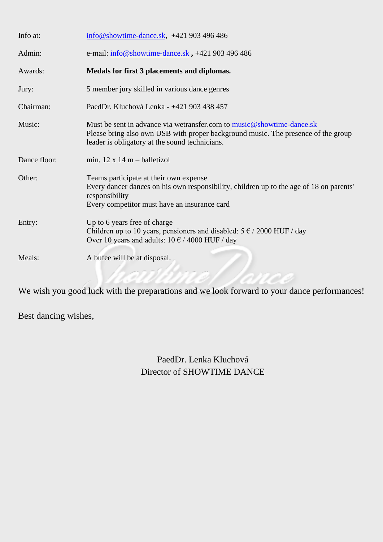| Info at:     | info@showtime-dance.sk, +421 903 496 486                                                                                                                                                                     |
|--------------|--------------------------------------------------------------------------------------------------------------------------------------------------------------------------------------------------------------|
| Admin:       | e-mail: $\frac{\text{info@showtime} \cdot \text{dance} \cdot sk}{\text{rho@showtime} \cdot \text{dance} \cdot sk}$ , +421 903 496 486                                                                        |
| Awards:      | Medals for first 3 placements and diplomas.                                                                                                                                                                  |
| Jury:        | 5 member jury skilled in various dance genres                                                                                                                                                                |
| Chairman:    | PaedDr. Kluchová Lenka - +421 903 438 457                                                                                                                                                                    |
| Music:       | Must be sent in advance via wetransfer.com to music@showtime-dance.sk<br>Please bring also own USB with proper background music. The presence of the group<br>leader is obligatory at the sound technicians. |
| Dance floor: | min. $12 \times 14$ m – balletizol                                                                                                                                                                           |
| Other:       | Teams participate at their own expense<br>Every dancer dances on his own responsibility, children up to the age of 18 on parents'<br>responsibility<br>Every competitor must have an insurance card          |
| Entry:       | Up to 6 years free of charge<br>Children up to 10 years, pensioners and disabled: $5 \in / 2000$ HUF / day<br>Over 10 years and adults: $10 \text{ } \in$ / 4000 HUF / day                                   |
| Meals:       | A bufee will be at disposal.                                                                                                                                                                                 |

We wish you good luck with the preparations and we look forward to your dance performances!

Best dancing wishes,

PaedDr. Lenka Kluchová Director of SHOWTIME DANCE